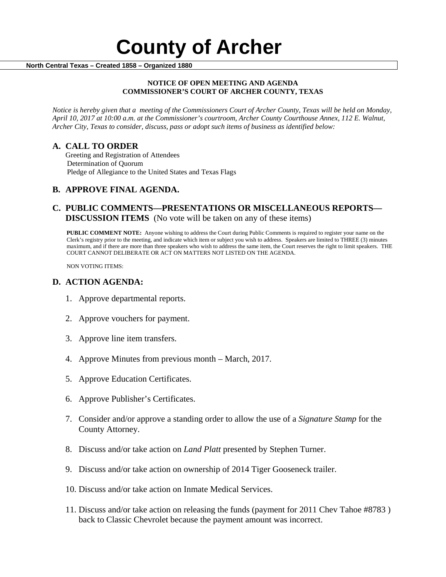#### **NOTICE OF OPEN MEETING AND AGENDA COMMISSIONER'S COURT OF ARCHER COUNTY, TEXAS**

*Notice is hereby given that a meeting of the Commissioners Court of Archer County, Texas will be held on Monday, April 10, 2017 at 10:00 a.m. at the Commissioner's courtroom, Archer County Courthouse Annex, 112 E. Walnut, Archer City, Texas to consider, discuss, pass or adopt such items of business as identified below:*

**A. CALL TO ORDER** Greeting and Registration of Attendees Determination of Quorum Pledge of Allegiance to the United States and Texas Flags

# **B. APPROVE FINAL AGENDA.**

# **C. PUBLIC COMMENTS—PRESENTATIONS OR MISCELLANEOUS REPORTS— DISCUSSION ITEMS** (No vote will be taken on any of these items)

**PUBLIC COMMENT NOTE:** Anyone wishing to address the Court during Public Comments is required to register your name on the Clerk's registry prior to the meeting, and indicate which item or subject you wish to address. Speakers are limited to THREE (3) minutes maximum, and if there are more than three speakers who wish to address the same item, the Court reserves the right to limit speakers. THE COURT CANNOT DELIBERATE OR ACT ON MATTERS NOT LISTED ON THE AGENDA.

NON VOTING ITEMS:

### **D. ACTION AGENDA:**

- 1. Approve departmental reports.
- 2. Approve vouchers for payment.
- 3. Approve line item transfers.
- 4. Approve Minutes from previous month March, 2017.
- 5. Approve Education Certificates.
- 6. Approve Publisher's Certificates.
- 7. Consider and/or approve a standing order to allow the use of a *Signature Stamp* for the County Attorney.
- 8. Discuss and/or take action on *Land Platt* presented by Stephen Turner.
- 9. Discuss and/or take action on ownership of 2014 Tiger Gooseneck trailer.
- 10. Discuss and/or take action on Inmate Medical Services.
- 11. Discuss and/or take action on releasing the funds (payment for 2011 Chev Tahoe #8783 ) back to Classic Chevrolet because the payment amount was incorrect.